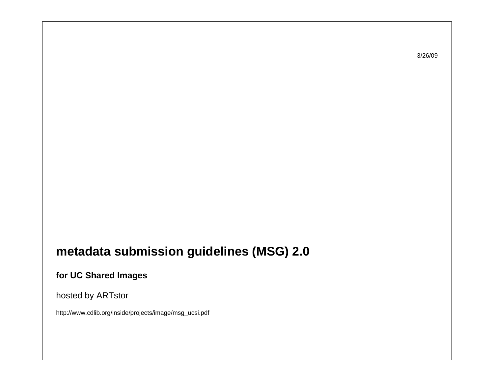3/26/09

# **metadata submission guidelines (MSG) 2.0**

### **for UC Shared Images**

hosted by ARTstor

http://www.cdlib.org/inside/projects/image/msg\_ucsi.pdf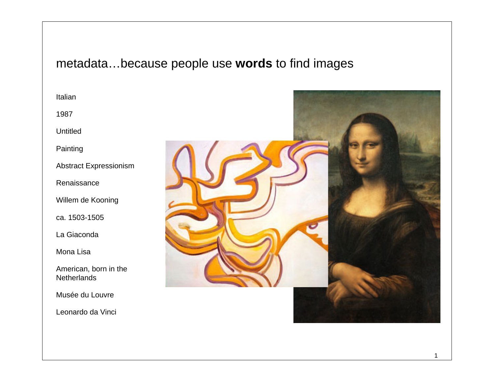## metadata…because people use **words** to find images

Italian

1987

Untitled

**Painting** 

Abstract Expressionism

Renaissance

Willem de Kooning

ca. 1503-1505

La Giaconda

Mona Lisa

American, born in the **Netherlands** 

Musée du Louvre

Leonardo da Vinci

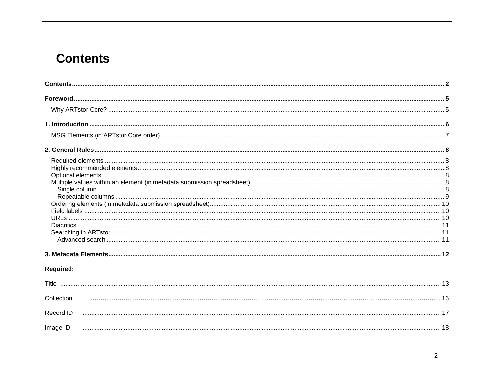## **Contents**

| Required:  |  |
|------------|--|
|            |  |
| Collection |  |
| Record ID  |  |
| Image ID   |  |
|            |  |
| 2          |  |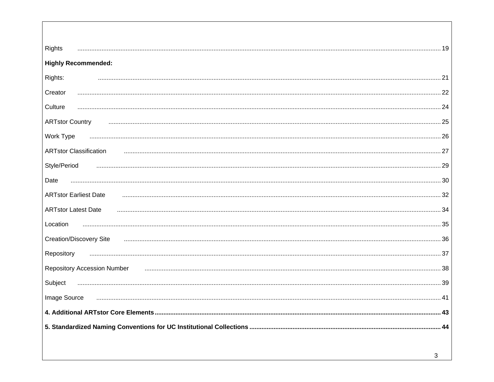| Rights<br>19                             |
|------------------------------------------|
| <b>Highly Recommended:</b>               |
| Rights:<br>21                            |
| Creator<br>22                            |
| Culture<br>24                            |
| <b>ARTstor Country</b><br>.25            |
| Work Type<br>26                          |
| <b>ARTstor Classification</b><br>27      |
| Style/Period<br>.29                      |
| Date<br>30                               |
| <b>ARTstor Earliest Date</b><br>32       |
| <b>ARTstor Latest Date</b><br>34         |
| Location<br>35                           |
| <b>Creation/Discovery Site</b><br>36     |
| Repository<br>37                         |
| <b>Repository Accession Number</b><br>38 |
| Subject<br>.39                           |
| Image Source<br>.41                      |
|                                          |
|                                          |
|                                          |
| 3                                        |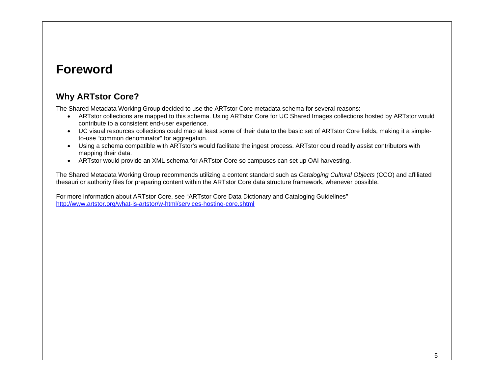## **Foreword**

### **Why ARTstor Core?**

The Shared Metadata Working Group decided to use the ARTstor Core metadata schema for several reasons:

- ARTstor collections are mapped to this schema. Using ARTstor Core for UC Shared Images collections hosted by ARTstor would contribute to a consistent end-user experience.
- UC visual resources collections could map at least some of their data to the basic set of ARTstor Core fields, making it a simpleto-use "common denominator" for aggregation.
- Using a schema compatible with ARTstor's would facilitate the ingest process. ARTstor could readily assist contributors with mapping their data.
- ARTstor would provide an XML schema for ARTstor Core so campuses can set up OAI harvesting.

The Shared Metadata Working Group recommends utilizing a content standard such as *Cataloging Cultural Objects* (CCO) and affiliated thesauri or authority files for preparing content within the ARTstor Core data structure framework, whenever possible.

For more information about ARTstor Core, see "ARTstor Core Data Dictionary and Cataloging Guidelines" http://www.artstor.org/what-is-artstor/w-html/services-hosting-core.shtml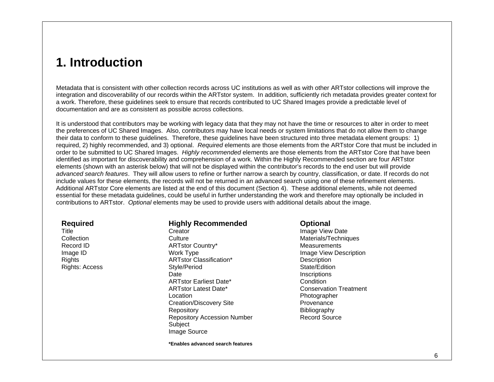## **1. Introduction**

Metadata that is consistent with other collection records across UC institutions as well as with other ARTstor collections will improve the integration and discoverability of our records within the ARTstor system. In addition, sufficiently rich metadata provides greater context for a work. Therefore, these guidelines seek to ensure that records contributed to UC Shared Images provide a predictable level of documentation and are as consistent as possible across collections.

It is understood that contributors may be working with legacy data that they may not have the time or resources to alter in order to meet the preferences of UC Shared Images. Also, contributors may have local needs or system limitations that do not allow them to change their data to conform to these guidelines. Therefore, these guidelines have been structured into three metadata element groups: 1) required, 2) highly recommended, and 3) optional. *Required* elements are those elements from the ARTstor Core that must be included in order to be submitted to UC Shared Images. *Highly recommended* elements are those elements from the ARTstor Core that have been identified as important for discoverability and comprehension of a work. Within the Highly Recommended section are four ARTstor elements (shown with an asterisk below) that will not be displayed within the contributor's records to the end user but will provide *advanced search features*. They will allow users to refine or further narrow a search by country, classification, or date. If records do not include values for these elements, the records will not be returned in an advanced search using one of these refinement elements. Additional ARTstor Core elements are listed at the end of this document (Section 4). These additional elements, while not deemed essential for these metadata guidelines, could be useful in further understanding the work and therefore may optionally be included in contributions to ARTstor. *Optional* elements may be used to provide users with additional details about the image.

| <b>Required</b><br>Title<br>Collection<br>Record ID<br>Image ID<br><b>Rights</b><br><b>Rights: Access</b> | <b>Highly Recommended</b><br>Creator<br>Culture<br><b>ARTstor Country*</b><br>Work Type<br><b>ARTstor Classification*</b><br>Style/Period<br>Date<br><b>ARTstor Earliest Date*</b><br><b>ARTstor Latest Date*</b><br>Location | <b>Optional</b><br>Image View Date<br>Materials/Techniques<br><b>Measurements</b><br>Image View Description<br>Description<br>State/Edition<br>Inscriptions<br>Condition<br><b>Conservation Treatment</b><br>Photographer |
|-----------------------------------------------------------------------------------------------------------|-------------------------------------------------------------------------------------------------------------------------------------------------------------------------------------------------------------------------------|---------------------------------------------------------------------------------------------------------------------------------------------------------------------------------------------------------------------------|
|                                                                                                           |                                                                                                                                                                                                                               |                                                                                                                                                                                                                           |
|                                                                                                           |                                                                                                                                                                                                                               |                                                                                                                                                                                                                           |
|                                                                                                           |                                                                                                                                                                                                                               |                                                                                                                                                                                                                           |
|                                                                                                           |                                                                                                                                                                                                                               |                                                                                                                                                                                                                           |
|                                                                                                           | Creation/Discovery Site                                                                                                                                                                                                       | Provenance                                                                                                                                                                                                                |
|                                                                                                           | Repository                                                                                                                                                                                                                    | Bibliography                                                                                                                                                                                                              |
|                                                                                                           | <b>Repository Accession Number</b>                                                                                                                                                                                            | <b>Record Source</b>                                                                                                                                                                                                      |
|                                                                                                           | Subject                                                                                                                                                                                                                       |                                                                                                                                                                                                                           |
|                                                                                                           | Image Source                                                                                                                                                                                                                  |                                                                                                                                                                                                                           |
|                                                                                                           | *Enables advanced search features                                                                                                                                                                                             |                                                                                                                                                                                                                           |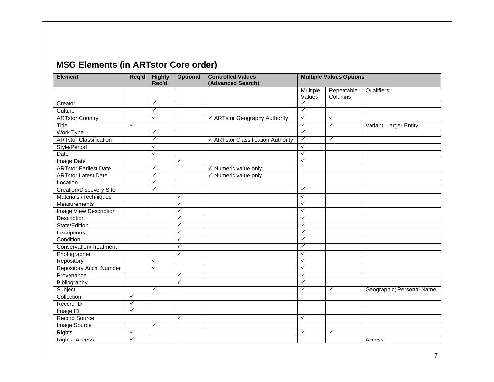## **MSG Elements (in ARTstor Core order)**

| <b>Element</b>                 | <b>Highly</b><br><b>Optional</b><br>Req'd<br>Rec'd |              |                         | <b>Controlled Values</b><br>(Advanced Search) | <b>Multiple Values Options</b> |                       |                           |
|--------------------------------|----------------------------------------------------|--------------|-------------------------|-----------------------------------------------|--------------------------------|-----------------------|---------------------------|
|                                |                                                    |              |                         |                                               | Multiple<br>Values             | Repeatable<br>Columns | Qualifiers                |
| Creator                        |                                                    | $\checkmark$ |                         |                                               | $\checkmark$                   |                       |                           |
| Culture                        |                                                    | $\checkmark$ |                         |                                               | $\checkmark$                   |                       |                           |
| <b>ARTstor Country</b>         |                                                    | $\checkmark$ |                         | ← ARTstor Geography Authority                 | $\checkmark$                   | ✓                     |                           |
| <b>Title</b>                   | ✓                                                  |              |                         |                                               | $\checkmark$                   | $\checkmark$          | Variant; Larger Entity    |
| Work Type                      |                                                    | $\checkmark$ |                         |                                               | $\checkmark$                   |                       |                           |
| <b>ARTstor Classification</b>  |                                                    | $\checkmark$ |                         | ← ARTstor Classification Authority            | $\checkmark$                   | $\checkmark$          |                           |
| Style/Period                   |                                                    | $\checkmark$ |                         |                                               | $\checkmark$                   |                       |                           |
| Date                           |                                                    | $\checkmark$ |                         |                                               | $\checkmark$                   |                       |                           |
| Image Date                     |                                                    |              | $\checkmark$            |                                               | $\checkmark$                   |                       |                           |
| <b>ARTstor Earliest Date</b>   |                                                    | $\checkmark$ |                         | $\checkmark$ Numeric value only               |                                |                       |                           |
| <b>ARTstor Latest Date</b>     |                                                    | ✓            |                         | √ Numeric value only                          |                                |                       |                           |
| Location                       |                                                    | ✓            |                         |                                               |                                |                       |                           |
| <b>Creation/Discovery Site</b> |                                                    | $\checkmark$ |                         |                                               | $\checkmark$                   |                       |                           |
| Materials /Techniques          |                                                    |              | ✓                       |                                               | ✓                              |                       |                           |
| Measurements                   |                                                    |              | $\checkmark$            |                                               | $\checkmark$                   |                       |                           |
| Image View Description         |                                                    |              | $\checkmark$            |                                               | $\checkmark$                   |                       |                           |
| Description                    |                                                    |              | $\checkmark$            |                                               | $\checkmark$                   |                       |                           |
| State/Edition                  |                                                    |              | $\checkmark$            |                                               | ✓                              |                       |                           |
| Inscriptions                   |                                                    |              | $\checkmark$            |                                               | $\checkmark$                   |                       |                           |
| Condition                      |                                                    |              | $\checkmark$            |                                               | $\checkmark$                   |                       |                           |
| Conservation/Treatment         |                                                    |              | $\overline{\checkmark}$ |                                               | ✓                              |                       |                           |
| Photographer                   |                                                    |              | $\checkmark$            |                                               | $\checkmark$                   |                       |                           |
| Repository                     |                                                    | $\checkmark$ |                         |                                               | $\checkmark$                   |                       |                           |
| Repository Accn. Number        |                                                    | $\checkmark$ |                         |                                               | ✓                              |                       |                           |
| Provenance                     |                                                    |              | $\checkmark$            |                                               | $\checkmark$                   |                       |                           |
| Bibliography                   |                                                    |              | $\checkmark$            |                                               | $\checkmark$                   |                       |                           |
| Subject                        |                                                    | $\checkmark$ |                         |                                               | $\checkmark$                   | $\checkmark$          | Geographic; Personal Name |
| Collection                     | $\checkmark$                                       |              |                         |                                               |                                |                       |                           |
| Record ID                      | $\checkmark$                                       |              |                         |                                               |                                |                       |                           |
| Image ID                       | $\checkmark$                                       |              |                         |                                               |                                |                       |                           |
| <b>Record Source</b>           |                                                    |              | $\checkmark$            |                                               | $\checkmark$                   |                       |                           |
| Image Source                   |                                                    | $\checkmark$ |                         |                                               |                                |                       |                           |
| <b>Rights</b>                  | $\checkmark$                                       |              |                         |                                               | $\checkmark$                   | $\checkmark$          |                           |
| <b>Rights: Access</b>          | $\checkmark$                                       |              |                         |                                               |                                |                       | Access                    |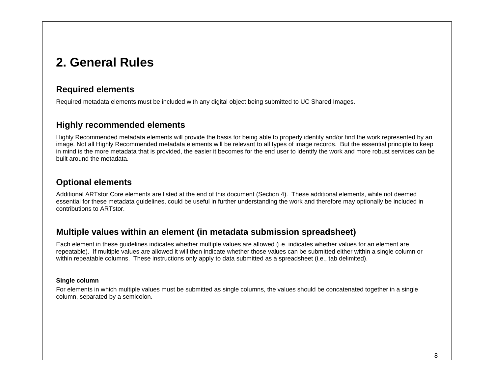# **2. General Rules**

### **Required elements**

Required metadata elements must be included with any digital object being submitted to UC Shared Images.

### **Highly recommended elements**

Highly Recommended metadata elements will provide the basis for being able to properly identify and/or find the work represented by an image. Not all Highly Recommended metadata elements will be relevant to all types of image records. But the essential principle to keep in mind is the more metadata that is provided, the easier it becomes for the end user to identify the work and more robust services can be built around the metadata.

### **Optional elements**

Additional ARTstor Core elements are listed at the end of this document (Section 4). These additional elements, while not deemed essential for these metadata guidelines, could be useful in further understanding the work and therefore may optionally be included in contributions to ARTstor.

### **Multiple values within an element (in metadata submission spreadsheet)**

Each element in these guidelines indicates whether multiple values are allowed (i.e. indicates whether values for an element are repeatable). If multiple values are allowed it will then indicate whether those values can be submitted either within a single column or within repeatable columns. These instructions only apply to data submitted as a spreadsheet (i.e., tab delimited).

### **Single column**

For elements in which multiple values must be submitted as single columns, the values should be concatenated together in a single column, separated by a semicolon.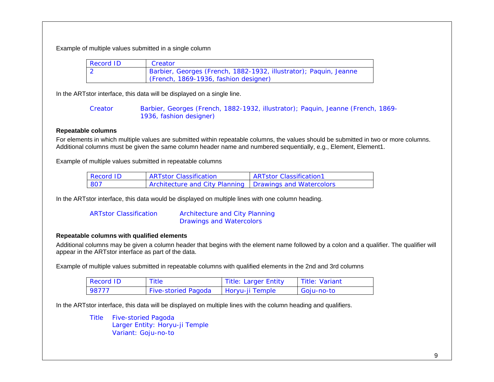Example of multiple values submitted in a single column

| Record ID | Creator                                                           |
|-----------|-------------------------------------------------------------------|
|           | Barbier, Georges (French, 1882-1932, illustrator); Paquin, Jeanne |
|           | (French, 1869-1936, fashion designer)                             |

In the ARTstor interface, this data will be displayed on a single line.

Creator Barbier, Georges (French, 1882-1932, illustrator); Paquin, Jeanne (French, 1869- 1936, fashion designer)

### **Repeatable columns**

For elements in which multiple values are submitted within repeatable columns, the values should be submitted in two or more columns. Additional columns must be given the same column header name and numbered sequentially, e.g., Element, Element1.

Example of multiple values submitted in repeatable columns

| Record ID | <b>ARTstor Classification</b>                             | <b>ARTstor Classification1</b> |
|-----------|-----------------------------------------------------------|--------------------------------|
| 807       | Architecture and City Planning   Drawings and Watercolors |                                |

In the ARTstor interface, this data would be displayed on multiple lines with one column heading.

ARTstor Classification Architecture and City Planning Drawings and Watercolors

### **Repeatable columns with qualified elements**

Additional columns may be given a column header that begins with the element name followed by a colon and a qualifier. The qualifier will appear in the ARTstor interface as part of the data.

Example of multiple values submitted in repeatable columns with qualified elements in the 2nd and 3rd columns

| Record ID      | <b>Title</b>                          | <b>Title: Larger Entity</b> | Title: Variant |
|----------------|---------------------------------------|-----------------------------|----------------|
| $\sqrt{98777}$ | Five-storied Pagoda   Horyu-ji Temple |                             | Goju-no-to     |

In the ARTstor interface, this data will be displayed on multiple lines with the column heading and qualifiers.

Title Five-storied Pagoda Larger Entity: Horyu-ji Temple Variant: Goju-no-to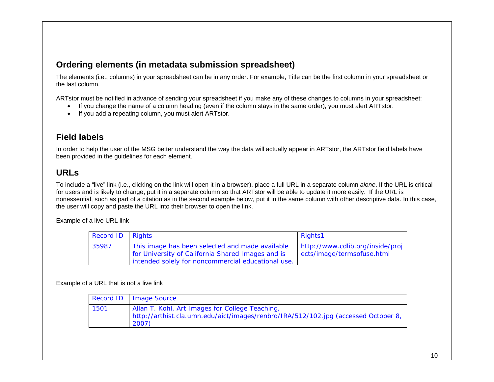### **Ordering elements (in metadata submission spreadsheet)**

The elements (i.e., columns) in your spreadsheet can be in any order. For example, Title can be the first column in your spreadsheet or the last column.

ARTstor must be notified in advance of sending your spreadsheet if you make any of these changes to columns in your spreadsheet:

- If you change the name of a column heading (even if the column stays in the same order), you must alert ARTstor.
- If you add a repeating column, you must alert ARTstor.

### **Field labels**

In order to help the user of the MSG better understand the way the data will actually appear in ARTstor, the ARTstor field labels have been provided in the guidelines for each element.

### **URLs**

To include a "live" link (i.e., clicking on the link will open it in a browser), place a full URL in a separate column *alone*. If the URL is critical for users and is likely to change, put it in a separate column so that ARTstor will be able to update it more easily. If the URL is nonessential, such as part of a citation as in the second example below, put it in the same column with other descriptive data. In this case, the user will copy and paste the URL into their browser to open the link.

Example of a live URL link

|       | Record ID Rights                                                                                     | Rights1                                                        |
|-------|------------------------------------------------------------------------------------------------------|----------------------------------------------------------------|
| 35987 | This image has been selected and made available<br>for University of California Shared Images and is | http://www.cdlib.org/inside/proj<br>ects/image/termsofuse.html |
|       | intended solely for noncommercial educational use.                                                   |                                                                |

### Example of a URL that is not a live link

|      | Record ID   Image Source                                                                                                                       |
|------|------------------------------------------------------------------------------------------------------------------------------------------------|
| 1501 | Allan T. Kohl, Art Images for College Teaching,<br>http://arthist.cla.umn.edu/aict/images/renbrg/IRA/512/102.jpg (accessed October 8,<br>2007) |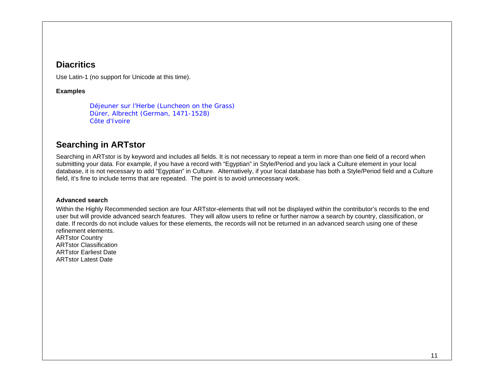### **Diacritics**

Use Latin-1 (no support for Unicode at this time).

### **Examples**

Déjeuner sur l'Herbe (Luncheon on the Grass) Dürer, Albrecht (German, 1471-1528) Côte d'Ivoire

### **Searching in ARTstor**

Searching in ARTstor is by keyword and includes all fields. It is not necessary to repeat a term in more than one field of a record when submitting your data. For example, if you have a record with "Egyptian" in Style/Period and you lack a Culture element in your local database, it is not necessary to add "Egyptian" in Culture. Alternatively, if your local database has both a Style/Period field and a Culture field, it's fine to include terms that are repeated. The point is to avoid unnecessary work.

### **Advanced search**

Within the Highly Recommended section are four ARTstor-elements that will not be displayed within the contributor's records to the end user but will provide advanced search features. They will allow users to refine or further narrow a search by country, classification, or date. If records do not include values for these elements, the records will not be returned in an advanced search using one of these refinement elements.

ARTstor Country ARTstor Classification ARTstor Earliest Date ARTstor Latest Date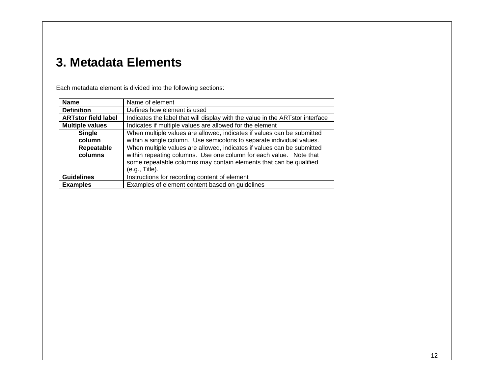## **3. Metadata Elements**

| <b>Name</b>                                                                          | Name of element                                                               |  |  |
|--------------------------------------------------------------------------------------|-------------------------------------------------------------------------------|--|--|
| <b>Definition</b>                                                                    | Defines how element is used                                                   |  |  |
| <b>ARTstor field label</b>                                                           | Indicates the label that will display with the value in the ARTstor interface |  |  |
| <b>Multiple values</b>                                                               | Indicates if multiple values are allowed for the element                      |  |  |
| <b>Single</b>                                                                        | When multiple values are allowed, indicates if values can be submitted        |  |  |
| column                                                                               | within a single column. Use semicolons to separate individual values.         |  |  |
| When multiple values are allowed, indicates if values can be submitted<br>Repeatable |                                                                               |  |  |
| within repeating columns. Use one column for each value. Note that<br>columns        |                                                                               |  |  |
|                                                                                      | some repeatable columns may contain elements that can be qualified            |  |  |
|                                                                                      | (e.g., Title).                                                                |  |  |
| <b>Guidelines</b>                                                                    | Instructions for recording content of element                                 |  |  |
| <b>Examples</b>                                                                      | Examples of element content based on guidelines                               |  |  |

Each metadata element is divided into the following sections: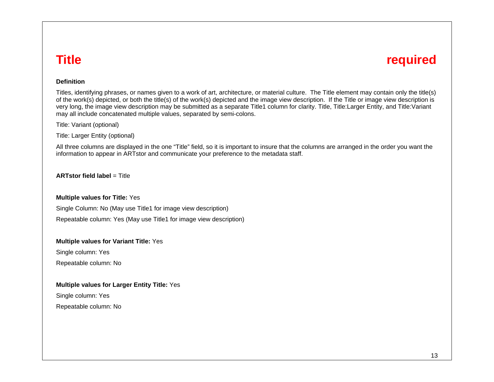## **Title The required required**

### **Definition**

Titles, identifying phrases, or names given to a work of art, architecture, or material culture. The Title element may contain only the title(s) of the work(s) depicted, or both the title(s) of the work(s) depicted and the image view description. If the Title or image view description is very long, the image view description may be submitted as a separate Title1 column for clarity. Title, Title:Larger Entity, and Title:Variant may all include concatenated multiple values, separated by semi-colons.

Title: Variant (optional)

Title: Larger Entity (optional)

All three columns are displayed in the one "Title" field, so it is important to insure that the columns are arranged in the order you want the information to appear in ARTstor and communicate your preference to the metadata staff.

**ARTstor field label** = Title

### **Multiple values for Title:** Yes

Single Column: No (May use Title1 for image view description) Repeatable column: Yes (May use Title1 for image view description)

### **Multiple values for Variant Title:** Yes

Single column: Yes Repeatable column: No

### **Multiple values for Larger Entity Title:** Yes

Single column: Yes Repeatable column: No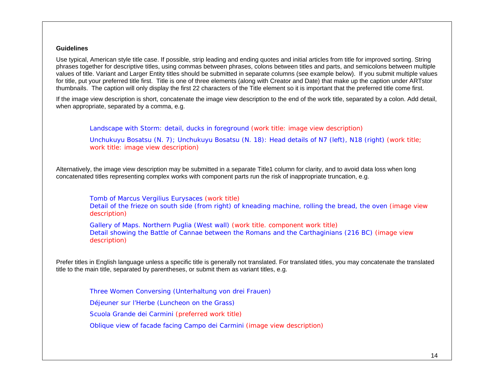#### **Guidelines**

Use typical, American style title case. If possible, strip leading and ending quotes and initial articles from title for improved sorting. String phrases together for descriptive titles, using commas between phrases, colons between titles and parts, and semicolons between multiple values of title. Variant and Larger Entity titles should be submitted in separate columns (see example below). If you submit multiple values for title, put your preferred title first. Title is one of three elements (along with Creator and Date) that make up the caption under ARTstor thumbnails. The caption will only display the first 22 characters of the Title element so it is important that the preferred title come first.

If the image view description is short, concatenate the image view description to the end of the work title, separated by a colon. Add detail, when appropriate, separated by a comma, e.g.

Landscape with Storm: detail, ducks in foreground *(work title: image view description)*

Unchukuyu Bosatsu (N. 7); Unchukuyu Bosatsu (N. 18): Head details of N7 (left), N18 (right) *(work title; work title: image view description)* 

Alternatively, the image view description may be submitted in a separate Title1 column for clarity, and to avoid data loss when long concatenated titles representing complex works with component parts run the risk of inappropriate truncation, e.g.

Tomb of Marcus Vergilius Eurysaces (work title) Detail of the frieze on south side (from right) of kneading machine, rolling the bread, the oven (image view description)

Gallery of Maps. Northern Puglia (West wall) (work title. component work title) Detail showing the Battle of Cannae between the Romans and the Carthaginians (216 BC) (image view description)

Prefer titles in English language unless a specific title is generally not translated. For translated titles, you may concatenate the translated title to the main title, separated by parentheses, or submit them as variant titles, e.g.

Three Women Conversing (Unterhaltung von drei Frauen)

Déjeuner sur l'Herbe (Luncheon on the Grass)

Scuola Grande dei Carmini (preferred work title)

Oblique view of facade facing Campo dei Carmini (image view description)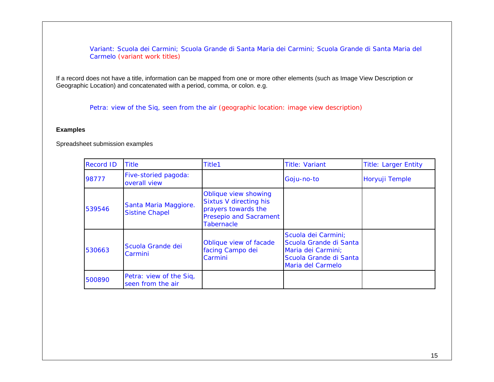Variant: Scuola dei Carmini; Scuola Grande di Santa Maria dei Carmini; Scuola Grande di Santa Maria del Carmelo (variant work titles)

If a record does not have a title, information can be mapped from one or more other elements (such as Image View Description or Geographic Location) and concatenated with a period, comma, or colon. e.g.

Petra: view of the Siq, seen from the air (geographic location: image view description)

### **Examples**

Spreadsheet submission examples

| <b>Record ID</b> | <b>Title</b>                                   | Title1                                                                                                                             | <b>Title: Variant</b>                                                                                              | <b>Title: Larger Entity</b> |
|------------------|------------------------------------------------|------------------------------------------------------------------------------------------------------------------------------------|--------------------------------------------------------------------------------------------------------------------|-----------------------------|
| 98777            | Five-storied pagoda:<br>overall view           |                                                                                                                                    | Goju-no-to                                                                                                         | Horyuji Temple              |
| 539546           | Santa Maria Maggiore.<br><b>Sistine Chapel</b> | Oblique view showing<br><b>Sixtus V directing his</b><br>prayers towards the<br><b>Presepio and Sacrament</b><br><b>Tabernacle</b> |                                                                                                                    |                             |
| 530663           | Scuola Grande dei<br>Carmini                   | Oblique view of facade<br>facing Campo dei<br>Carmini                                                                              | Scuola dei Carmini;<br>Scuola Grande di Santa<br>Maria dei Carmini;<br>Scuola Grande di Santa<br>Maria del Carmelo |                             |
| 500890           | Petra: view of the Sig,<br>seen from the air   |                                                                                                                                    |                                                                                                                    |                             |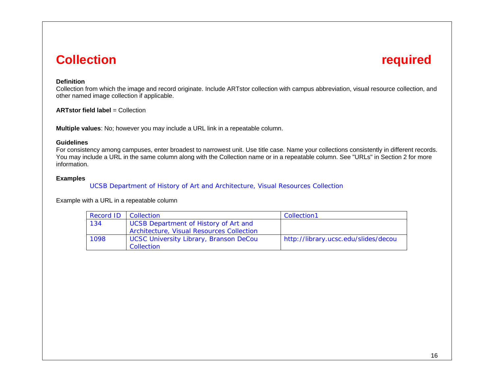## **Collection and Collection required**

### **Definition**

Collection from which the image and record originate. Include ARTstor collection with campus abbreviation, visual resource collection, and other named image collection if applicable.

**ARTstor field label = Collection** 

**Multiple values**: No; however you may include a URL link in a repeatable column.

### **Guidelines**

For consistency among campuses, enter broadest to narrowest unit. Use title case. Name your collections consistently in different records. You may include a URL in the same column along with the Collection name or in a repeatable column. See "URLs" in Section 2 for more information.

### **Examples**

### UCSB Department of History of Art and Architecture, Visual Resources Collection

Example with a URL in a repeatable column

| Record ID | Collection                                    | Collection1                          |
|-----------|-----------------------------------------------|--------------------------------------|
| 134       | UCSB Department of History of Art and         |                                      |
|           | Architecture, Visual Resources Collection     |                                      |
| 1098      | <b>UCSC University Library, Branson DeCou</b> | http://library.ucsc.edu/slides/decou |
|           | Collection                                    |                                      |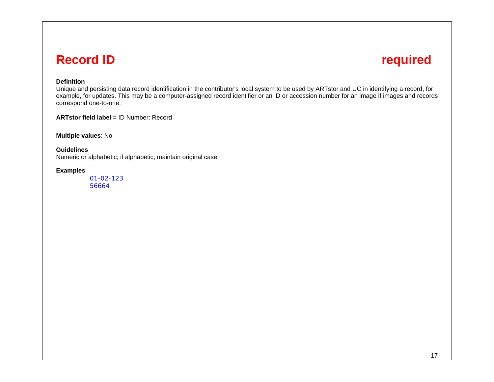## **Record ID** required

### **Definition**

Unique and persisting data record identification in the contributor's local system to be used by ARTstor and UC in identifying a record, for example, for updates. This may be a computer-assigned record identifier or an ID or accession number for an image if images and records correspond one-to-one.

**ARTstor field label** = ID Number: Record

**Multiple values**: No

**Guidelines** 

Numeric or alphabetic; if alphabetic, maintain original case.

### **Examples**

01-02-123 56664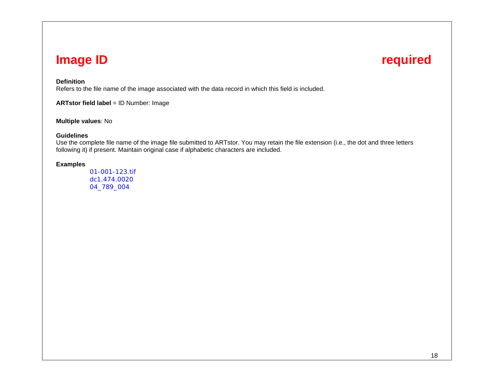## **Image ID** required

### **Definition**

Refers to the file name of the image associated with the data record in which this field is included.

**ARTstor field label**  = ID Number: Image

**Multiple values**: No

### **Guidelines**

 Use the complete file name of the image file submitted to ARTstor. You may retain the file extension (i.e., the dot and three letters following it) if present. Maintain original case if alphabetic characters are included.

### **Examples**

01-001-123.tif dc1.474.0020 04\_789\_004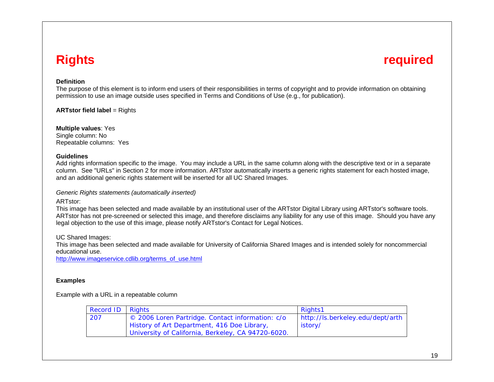## **Rights required**

### **Definition**

The purpose of this element is to inform end users of their responsibilities in terms of copyright and to provide information on obtaining permission to use an image outside uses specified in Terms and Conditions of Use (e.g., for publication).

**ARTstor field label** = Rights

**Multiple values**: Yes Single column: No Repeatable columns: Yes

### **Guidelines**

Add rights information specific to the image. You may include a URL in the same column along with the descriptive text or in a separate column. See "URLs" in Section 2 for more information. ARTstor automatically inserts a generic rights statement for each hosted image, and an additional generic rights statement will be inserted for all UC Shared Images.

*Generic Rights statements (automatically inserted)* 

ARTstor:

This image has been selected and made available by an institutional user of the ARTstor Digital Library using ARTstor's software tools. ARTstor has not pre-screened or selected this image, and therefore disclaims any liability for any use of this image. Should you have any legal objection to the use of this image, please notify ARTstor's Contact for Legal Notices.

UC Shared Images:

This image has been selected and made available for University of California Shared Images and is intended solely for noncommercial educational use.

http://www.imageservice.cdlib.org/terms\_of\_use.html

### **Examples**

Example with a URL in a repeatable column

| <b>Record ID</b> | <b>Rights</b>                                                                                                                                         | Rights1                                     |
|------------------|-------------------------------------------------------------------------------------------------------------------------------------------------------|---------------------------------------------|
| 207              | © 2006 Loren Partridge. Contact information: c/o<br>History of Art Department, 416 Doe Library,<br>University of California, Berkeley, CA 94720-6020. | http://ls.berkeley.edu/dept/arth<br>/istory |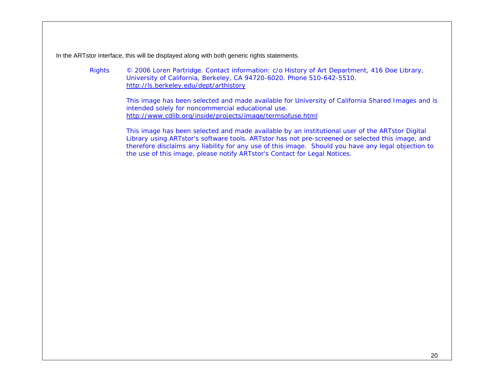In the ARTstor interface, this will be displayed along with both generic rights statements.

Rights © 2006 Loren Partridge. Contact information: c/o History of Art Department, 416 Doe Library, University of California, Berkeley, CA 94720-6020. Phone 510-642-5510. http://ls.berkeley.edu/dept/arthistory

> This image has been selected and made available for University of California Shared Images and is intended solely for noncommercial educational use. http://www.cdlib.org/inside/projects/image/termsofuse.html

 This image has been selected and made available by an institutional user of the ARTstor Digital Library using ARTstor's software tools. ARTstor has not pre-screened or selected this image, and therefore disclaims any liability for any use of this image. Should you have any legal objection to the use of this image, please notify ARTstor's Contact for Legal Notices.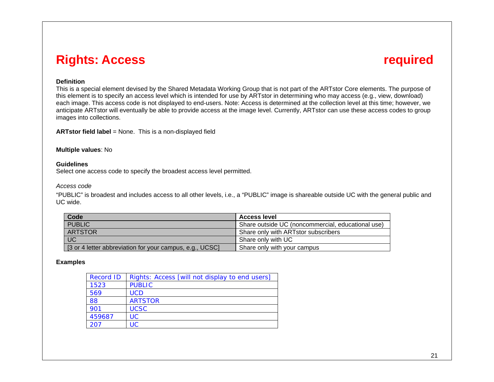## **Rights: Access required**

### **Definition**

This is a special element devised by the Shared Metadata Working Group that is not part of the ARTstor Core elements. The purpose of this element is to specify an access level which is intended for use by ARTstor in determining who may access (e.g., view, download) each image. This access code is not displayed to end-users. Note: Access is determined at the collection level at this time; however, we anticipate ARTstor will eventually be able to provide access at the image level. Currently, ARTstor can use these access codes to group images into collections.

**ARTstor field label = None.** This is a non-displayed field

### **Multiple values**: No

### **Guidelines**

Select one access code to specify the broadest access level permitted.

#### *Access code*

"PUBLIC" is broadest and includes access to all other levels, i.e., a "PUBLIC" image is shareable outside UC with the general public and UC wide.

| Code                                                     | <b>Access level</b>                               |
|----------------------------------------------------------|---------------------------------------------------|
| <b>PUBLIC</b>                                            | Share outside UC (noncommercial, educational use) |
| <b>ARTSTOR</b>                                           | Share only with ARTstor subscribers               |
| <b>UC</b>                                                | Share only with UC                                |
| [3 or 4 letter abbreviation for your campus, e.g., UCSC] | Share only with your campus                       |

### **Examples**

| <b>Record ID</b> | Rights: Access [will not display to end users] |
|------------------|------------------------------------------------|
| 1523             | <b>PUBLIC</b>                                  |
| 569              | <b>UCD</b>                                     |
| 88               | <b>ARTSTOR</b>                                 |
| 901              | <b>UCSC</b>                                    |
| 459687           | UC                                             |
| 207              | UC                                             |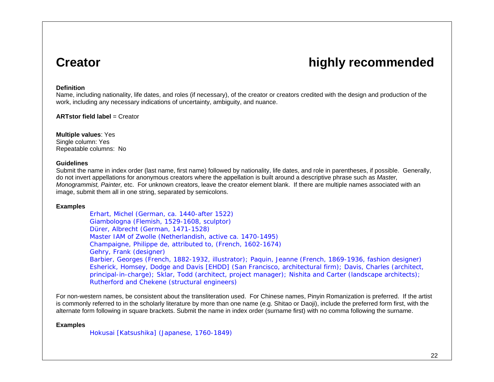# **Creator Commended Creator Creator Creator Creator Creator Creator Creator Creator Creator Creator Creator Crea**

### **Definition**

Name, including nationality, life dates, and roles (if necessary), of the creator or creators credited with the design and production of the work, including any necessary indications of uncertainty, ambiguity, and nuance.

### **ARTstor field label = Creator**

**Multiple values**: Yes Single column: Yes Repeatable columns: No

### **Guidelines**

Submit the name in index order (last name, first name) followed by nationality, life dates, and role in parentheses, if possible. Generally, do not invert appellations for anonymous creators where the appellation is built around a descriptive phrase such as *Master, Monogrammist, Painter,* etc. For unknown creators, leave the creator element blank. If there are multiple names associated with an image, submit them all in one string, separated by semicolons.

### **Examples**

Erhart, Michel (German, ca. 1440-after 1522) Giambologna (Flemish, 1529-1608, sculptor) Dürer, Albrecht (German, 1471-1528) Master IAM of Zwolle (Netherlandish, active ca. 1470-1495) Champaigne, Philippe de, attributed to, (French, 1602-1674) Gehry, Frank (designer) Barbier, Georges (French, 1882-1932, illustrator); Paquin, Jeanne (French, 1869-1936, fashion designer) Esherick, Homsey, Dodge and Davis [EHDD] (San Francisco, architectural firm); Davis, Charles (architect, principal-in-charge); Sklar, Todd (architect, project manager); Nishita and Carter (landscape architects); Rutherford and Chekene (structural engineers)

For non-western names, be consistent about the transliteration used. For Chinese names, Pinyin Romanization is preferred. If the artist is commonly referred to in the scholarly literature by more than one name (e.g. Shitao or Daoji), include the preferred form first, with the alternate form following in square brackets. Submit the name in index order (surname first) with no comma following the surname.

### **Examples**

Hokusai [Katsushika] (Japanese, 1760-1849)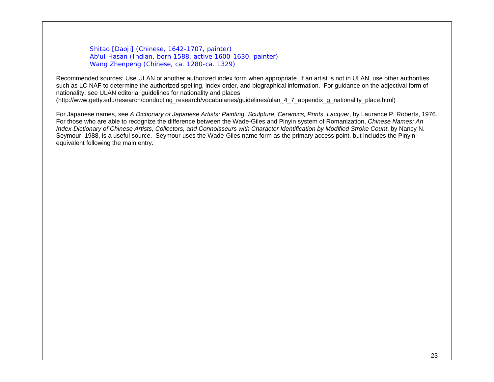Shitao [Daoji] (Chinese, 1642-1707, painter) Ab'ul-Hasan (Indian, born 1588, active 1600-1630, painter) Wang Zhenpeng (Chinese, ca. 1280-ca. 1329)

Recommended sources: Use ULAN or another authorized index form when appropriate. If an artist is not in ULAN, use other authorities such as LC NAF to determine the authorized spelling, index order, and biographical information. For guidance on the adjectival form of nationality, see ULAN editorial guidelines for nationality and places (http://www.getty.edu/research/conducting\_research/vocabularies/guidelines/ulan\_4\_7\_appendix\_g\_nationality\_place.html)

For Japanese names, see *A Dictionary of Japanese Artists: Painting, Sculpture, Ceramics, Prints, Lacquer*, by Laurance P. Roberts, 1976. For those who are able to recognize the difference between the Wade-Giles and Pinyin system of Romanization, *Chinese Names: An Index-Dictionary of Chinese Artists, Collectors, and Connoisseurs with Character Identification by Modified Stroke Count*, by Nancy N. Seymour, 1988, is a useful source. Seymour uses the Wade-Giles name form as the primary access point, but includes the Pinyin equivalent following the main entry.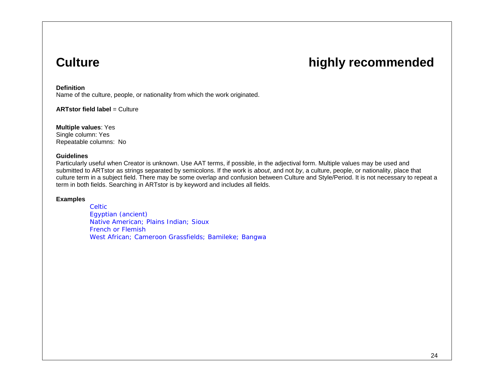# **Culture Culture and Culture in the commended highly recommended**

### **Definition**

Name of the culture, people, or nationality from which the work originated.

**ARTstor field label** = Culture

**Multiple values**: Yes Single column: Yes Repeatable columns: No

### **Guidelines**

Particularly useful when Creator is unknown. Use AAT terms, if possible, in the adjectival form. Multiple values may be used and submitted to ARTstor as strings separated by semicolons. If the work is *about*, and not *by*, a culture, people, or nationality, place that culture term in a subject field. There may be some overlap and confusion between Culture and Style/Period. It is not necessary to repeat a term in both fields. Searching in ARTstor is by keyword and includes all fields.

### **Examples**

Celtic Egyptian (ancient) Native American; Plains Indian; Sioux French or Flemish West African; Cameroon Grassfields; Bamileke; Bangwa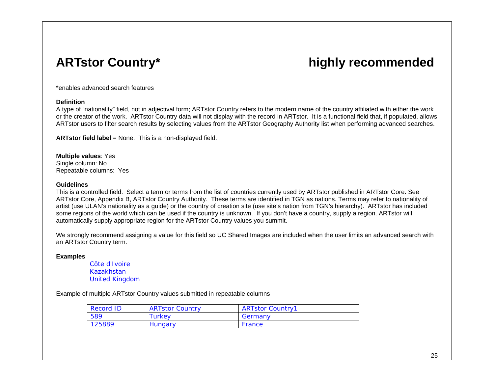# **ARTstor Country\* highly recommended**

\*enables advanced search features

### **Definition**

A type of "nationality" field, not in adjectival form; ARTstor Country refers to the modern name of the country affiliated with either the work or the creator of the work. ARTstor Country data will not display with the record in ARTstor. It is a functional field that, if populated, allows ARTstor users to filter search results by selecting values from the ARTstor Geography Authority list when performing advanced searches.

**ARTstor field label** = None. This is a non-displayed field.

**Multiple values**: Yes Single column: No Repeatable columns: Yes

### **Guidelines**

This is a controlled field. Select a term or terms from the list of countries currently used by ARTstor published in ARTstor Core. See ARTstor Core, Appendix B, ARTstor Country Authority. These terms are identified in TGN as nations. Terms may refer to nationality of artist (use ULAN's nationality as a guide) or the country of creation site (use site's nation from TGN's hierarchy). ARTstor has included some regions of the world which can be used if the country is unknown. If you don't have a country, supply a region. ARTstor will automatically supply appropriate region for the ARTstor Country values you summit.

We strongly recommend assigning a value for this field so UC Shared Images are included when the user limits an advanced search with an ARTstor Country term.

### **Examples**

Côte d'Ivoire Kazakhstan United Kingdom

Example of multiple ARTstor Country values submitted in repeatable columns

| Record ID | <b>ARTstor Country</b> | <b>ARTstor Country1</b> |
|-----------|------------------------|-------------------------|
| 589       | Turkev                 | Germany                 |
| 125889    | <b>Hungary</b>         | France                  |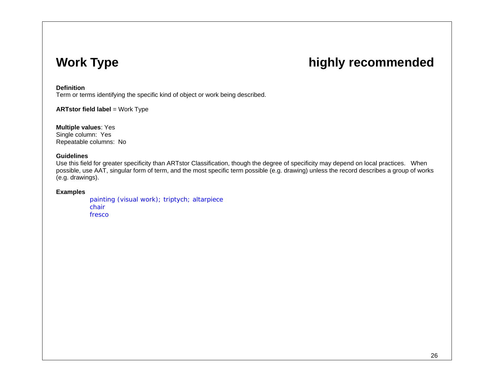# Work Type **highly recommended**

### **Definition**

Term or terms identifying the specific kind of object or work being described.

**ARTstor field label** <sup>=</sup> Work Type

**Multiple values**: Yes Single column: Yes Repeatable columns: No

### **Guidelines**

Use this field for greater specificity than ARTstor Classification, though the degree of specificity may depend on local practices. When possible, use AAT, singular form of term, and the most specific term possible (e.g. drawing) unless the record describes a group of works (e.g. drawings).

### **Examples**

painting (visual work); triptych; altarpiece chair fresco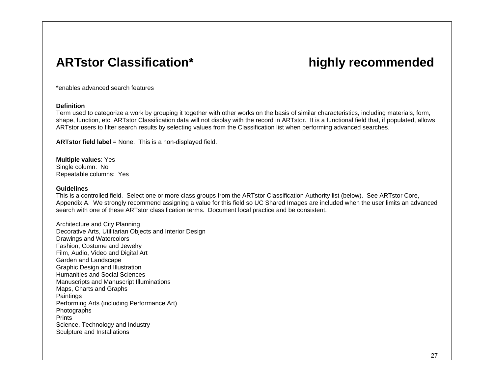## **ARTstor Classification\* highly recommended**

\*enables advanced search features

#### **Definition**

Term used to categorize a work by grouping it together with other works on the basis of similar characteristics, including materials, form, shape, function, etc. ARTstor Classification data will not display with the record in ARTstor. It is a functional field that, if populated, allows ARTstor users to filter search results by selecting values from the Classification list when performing advanced searches.

**ARTstor field label** = None. This is a non-displayed field.

**Multiple values**: Yes Single column: No Repeatable columns: Yes

### **Guidelines**

This is a controlled field. Select one or more class groups from the ARTstor Classification Authority list (below). See ARTstor Core, Appendix A. We strongly recommend assigning a value for this field so UC Shared Images are included when the user limits an advanced search with one of these ARTstor classification terms. Document local practice and be consistent.

Architecture and City Planning Decorative Arts, Utilitarian Objects and Interior Design Drawings and Watercolors Fashion, Costume and Jewelry Film, Audio, Video and Digital Art Garden and Landscape Graphic Design and Illustration Humanities and Social Sciences Manuscripts and Manuscript Illuminations Maps, Charts and Graphs **Paintings** Performing Arts (including Performance Art) Photographs Prints Science, Technology and Industry Sculpture and Installations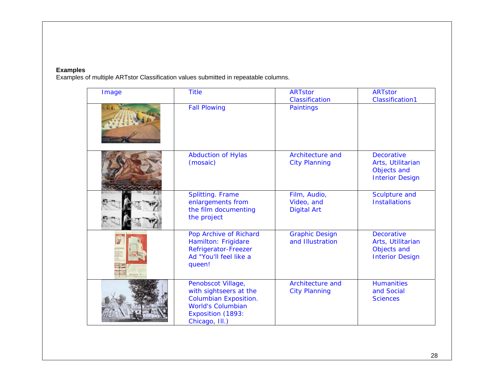### **Examples**

Examples of multiple ARTstor Classification values submitted in repeatable columns.

| Image | <b>Title</b>                                                                                                                                    | <b>ARTstor</b><br>Classification                 | <b>ARTstor</b><br><b>Classification1</b>                                        |
|-------|-------------------------------------------------------------------------------------------------------------------------------------------------|--------------------------------------------------|---------------------------------------------------------------------------------|
|       | <b>Fall Plowing</b>                                                                                                                             | <b>Paintings</b>                                 |                                                                                 |
|       | <b>Abduction of Hylas</b><br>(mosaic)                                                                                                           | Architecture and<br><b>City Planning</b>         | <b>Decorative</b><br>Arts, Utilitarian<br>Objects and<br><b>Interior Design</b> |
|       | <b>Splitting. Frame</b><br>enlargements from<br>the film documenting<br>the project                                                             | Film, Audio,<br>Video, and<br><b>Digital Art</b> | Sculpture and<br><b>Installations</b>                                           |
|       | Pop Archive of Richard<br>Hamilton: Frigidare<br>Refrigerator-Freezer<br>Ad "You'll feel like a<br>queen!                                       | <b>Graphic Design</b><br>and Illustration        | <b>Decorative</b><br>Arts, Utilitarian<br>Objects and<br><b>Interior Design</b> |
|       | Penobscot Village,<br>with sightseers at the<br><b>Columbian Exposition.</b><br><b>World's Columbian</b><br>Exposition (1893:<br>Chicago, III.) | Architecture and<br><b>City Planning</b>         | <b>Humanities</b><br>and Social<br><b>Sciences</b>                              |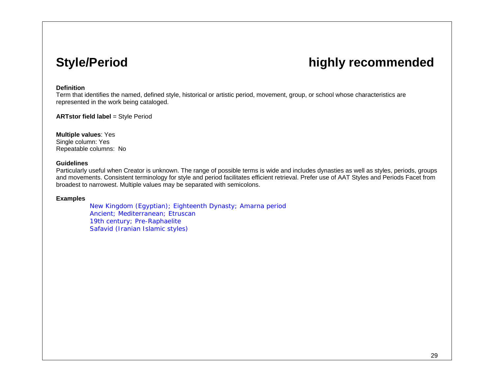# **Style/Period highly recommended**

### **Definition**

Term that identifies the named, defined style, historical or artistic period, movement, group, or school whose characteristics are represented in the work being cataloged.

**ARTstor field label** = Style Period

**Multiple values**: Yes Single column: Yes Repeatable columns: No

### **Guidelines**

Particularly useful when Creator is unknown. The range of possible terms is wide and includes dynasties as well as styles, periods, groups and movements. Consistent terminology for style and period facilitates efficient retrieval. Prefer use of AAT Styles and Periods Facet from broadest to narrowest. Multiple values may be separated with semicolons.

### **Examples**

New Kingdom (Egyptian); Eighteenth Dynasty; Amarna period Ancient; Mediterranean; Etruscan 19th century; Pre-Raphaelite Safavid (Iranian Islamic styles)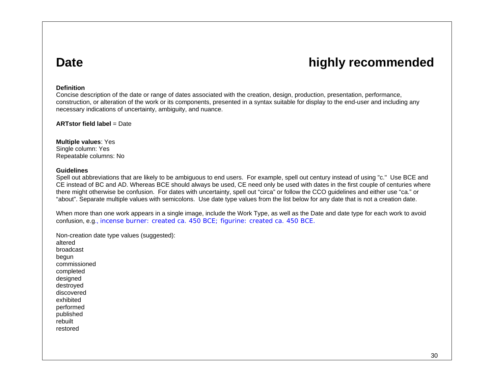# **Date highly recommended**

### **Definition**

Concise description of the date or range of dates associated with the creation, design, production, presentation, performance, construction, or alteration of the work or its components, presented in a syntax suitable for display to the end-user and including any necessary indications of uncertainty, ambiguity, and nuance.

### **ARTstor field label** = Date

**Multiple values**: Yes Single column: Yes Repeatable columns: No

#### **Guidelines**

Spell out abbreviations that are likely to be ambiguous to end users. For example, spell out century instead of using "c." Use BCE and CE instead of BC and AD. Whereas BCE should always be used, CE need only be used with dates in the first couple of centuries where there might otherwise be confusion. For dates with uncertainty, spell out "circa" or follow the CCO guidelines and either use "ca." or "about". Separate multiple values with semicolons. Use date type values from the list below for any date that is not a creation date.

When more than one work appears in a single image, include the Work Type, as well as the Date and date type for each work to avoid confusion, e.g., incense burner: created ca. 450 BCE; figurine: created ca. 450 BCE.

Non-creation date type values (suggested): altered broadcast begun commissioned completed designed destroyed discovered exhibited performed published rebuilt restored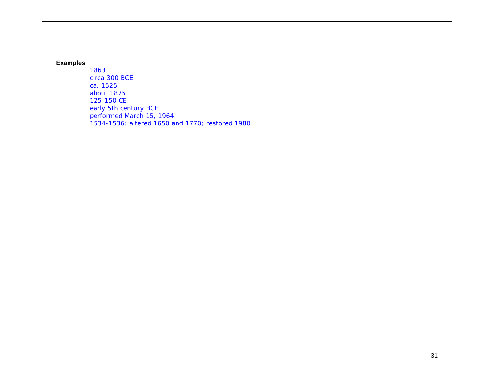### **Examples**

1863 circa 300 BCE ca. 1525 about 1875 125-150 CE early 5th century BCE performed March 15, 1964 1534-1536; altered 1650 and 1770; restored 1980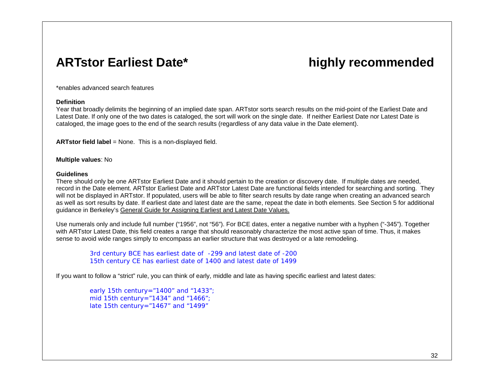## **ARTstor Earliest Date\* highly recommended**

\*enables advanced search features

#### **Definition**

Year that broadly delimits the beginning of an implied date span. ARTstor sorts search results on the mid-point of the Earliest Date and Latest Date. If only one of the two dates is cataloged, the sort will work on the single date. If neither Earliest Date nor Latest Date is cataloged, the image goes to the end of the search results (regardless of any data value in the Date element).

**ARTstor field label** = None. This is a non-displayed field.

**Multiple values**: No

### **Guidelines**

There should only be one ARTstor Earliest Date and it should pertain to the creation or discovery date. If multiple dates are needed, record in the Date element. ARTstor Earliest Date and ARTstor Latest Date are functional fields intended for searching and sorting. They will not be displayed in ARTstor. If populated, users will be able to filter search results by date range when creating an advanced search as well as sort results by date. If earliest date and latest date are the same, repeat the date in both elements. See Section 5 for additional guidance in Berkeley's General Guide for Assigning Earliest and Latest Date Values.

Use numerals only and include full number ("1956", not "56"). For BCE dates, enter a negative number with a hyphen ("-345"). Together with ARTstor Latest Date, this field creates a range that should reasonably characterize the most active span of time. Thus, it makes sense to avoid wide ranges simply to encompass an earlier structure that was destroyed or a late remodeling.

3rd century BCE has earliest date of -299 and latest date of -200 15th century CE has earliest date of 1400 and latest date of 1499

If you want to follow a "strict" rule, you can think of early, middle and late as having specific earliest and latest dates:

early 15th century="1400" and "1433"; mid 15th century="1434" and "1466"; late 15th century="1467" and "1499"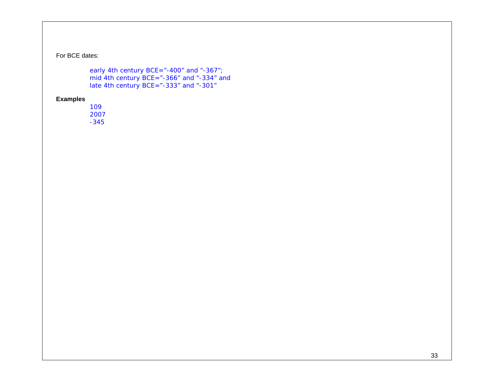### For BCE dates:

early 4th century BCE="-400" and "-367"; mid 4th century BCE="-366" and "-334" and late 4th century BCE="-333" and "-301"

### **Examples**

109 2007 -345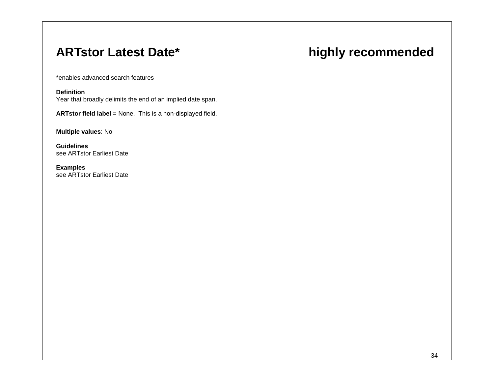# ARTstor Latest Date\* **highly recommended**

\*enables advanced search features

### **Definition**

Year that broadly delimits the end of an implied date span.

**ARTstor field label** = None. This is a non-displayed field.

**Multiple values**: No

**Guidelines** see ARTstor Earliest Date

**Examples**  see ARTstor Earliest Date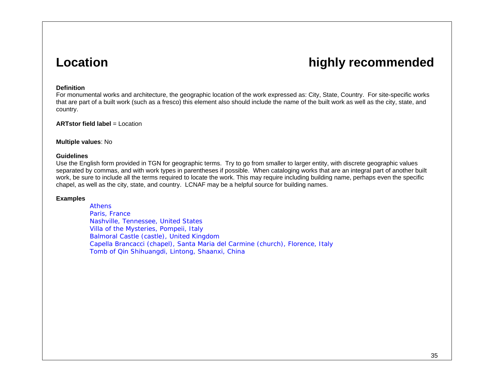# **Location <b>highly recommended**

### **Definition**

For monumental works and architecture, the geographic location of the work expressed as: City, State, Country. For site-specific works that are part of a built work (such as a fresco) this element also should include the name of the built work as well as the city, state, and country.

### **ARTstor field label** = Location

#### **Multiple values**: No

### **Guidelines**

Use the English form provided in TGN for geographic terms. Try to go from smaller to larger entity, with discrete geographic values separated by commas, and with work types in parentheses if possible. When cataloging works that are an integral part of another built work, be sure to include all the terms required to locate the work. This may require including building name, perhaps even the specific chapel, as well as the city, state, and country. LCNAF may be a helpful source for building names.

### **Examples**

Athens Paris, France Nashville, Tennessee, United States Villa of the Mysteries, Pompeii, Italy Balmoral Castle (castle), United Kingdom Capella Brancacci (chapel), Santa Maria del Carmine (church), Florence, Italy Tomb of Qin Shihuangdi, Lintong, Shaanxi, China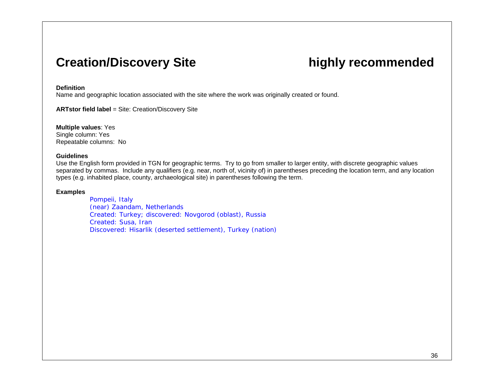## **Creation/Discovery Site highly recommended**

### **Definition**

Name and geographic location associated with the site where the work was originally created or found.

**ARTstor field label** = Site: Creation/Discovery Site

**Multiple values**: Yes Single column: Yes Repeatable columns: No

#### **Guidelines**

Use the English form provided in TGN for geographic terms. Try to go from smaller to larger entity, with discrete geographic values separated by commas. Include any qualifiers (e.g. near, north of, vicinity of) in parentheses preceding the location term, and any location types (e.g. inhabited place, county, archaeological site) in parentheses following the term.

### **Examples**

Pompeii, Italy (near) Zaandam, Netherlands Created: Turkey; discovered: Novgorod (oblast), Russia Created: Susa, Iran Discovered: Hisarlik (deserted settlement), Turkey (nation)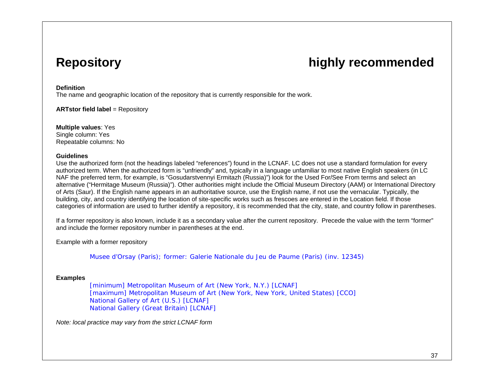# **Repository highly recommended**

### **Definition**

The name and geographic location of the repository that is currently responsible for the work.

**ARTstor field label = Repository** 

**Multiple values**: Yes Single column: Yes Repeatable columns: No

### **Guidelines**

Use the authorized form (not the headings labeled "references") found in the LCNAF. LC does not use a standard formulation for every authorized term. When the authorized form is "unfriendly" and, typically in a language unfamiliar to most native English speakers (in LC NAF the preferred term, for example, is "Gosudarstvennyi Ermitazh (Russia)") look for the Used For/See From terms and select an alternative ("Hermitage Museum (Russia)"). Other authorities might include the Official Museum Directory (AAM) or International Directory of Arts (Saur). If the English name appears in an authoritative source, use the English name, if not use the vernacular. Typically, the building, city, and country identifying the location of site-specific works such as frescoes are entered in the Location field. If those categories of information are used to further identify a repository, it is recommended that the city, state, and country follow in parentheses.

If a former repository is also known, include it as a secondary value after the current repository. Precede the value with the term "former" and include the former repository number in parentheses at the end.

Example with a former repository

Musee d'Orsay (Paris); former: Galerie Nationale du Jeu de Paume (Paris) (inv. 12345)

### **Examples**

[minimum] Metropolitan Museum of Art (New York, N.Y.) *[LCNAF]*  [maximum] Metropolitan Museum of Art (New York, New York, United States) *[CCO]* National Gallery of Art (U.S.) *[LCNAF]* National Gallery (Great Britain) *[LCNAF]* 

*Note: local practice may vary from the strict LCNAF form*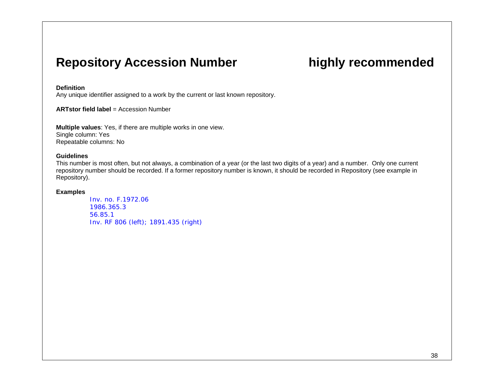## **Repository Accession Number highly recommended**

### **Definition**

Any unique identifier assigned to a work by the current or last known repository.

**ARTstor field label** = Accession Number

**Multiple values**: Yes, if there are multiple works in one view. Single column: Yes Repeatable columns: No

#### **Guidelines**

This number is most often, but not always, a combination of a year (or the last two digits of a year) and a number. Only one current repository number should be recorded. If a former repository number is known, it should be recorded in Repository (see example in Repository).

### **Examples**

Inv. no. F.1972.06 1986.365.3 56.85.1 Inv. RF 806 (left); 1891.435 (right)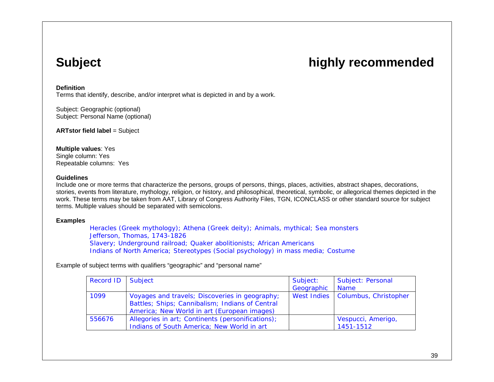# **Subject Subject and Subject and Subject and Subject and Subject and Subject and Subject and Subject and Subject and Subject and Subject and Subject and Subject and Subject and Subject and Subject and Subject and Subject a**

### **Definition**

Terms that identify, describe, and/or interpret what is depicted in and by a work.

Subject: Geographic (optional) Subject: Personal Name (optional)

**ARTstor field label = Subject** 

**Multiple values**: Yes Single column: Yes Repeatable columns: Yes

### **Guidelines**

Include one or more terms that characterize the persons, groups of persons, things, places, activities, abstract shapes, decorations, stories, events from literature, mythology, religion, or history, and philosophical, theoretical, symbolic, or allegorical themes depicted in the work. These terms may be taken from AAT, Library of Congress Authority Files, TGN, ICONCLASS or other standard source for subject terms. Multiple values should be separated with semicolons.

### **Examples**

Heracles (Greek mythology); Athena (Greek deity); Animals, mythical; Sea monsters Jefferson, Thomas, 1743-1826 Slavery; Underground railroad; Quaker abolitionists; African Americans Indians of North America; Stereotypes (Social psychology) in mass media; Costume

Example of subject terms with qualifiers "geographic" and "personal name"

| <b>Record ID</b> | Subject                                           | Subject:    | Subject: Personal     |
|------------------|---------------------------------------------------|-------------|-----------------------|
|                  |                                                   | Geographic  | <b>Name</b>           |
| 1099             | Voyages and travels; Discoveries in geography;    | West Indies | Columbus, Christopher |
|                  | Battles; Ships; Cannibalism; Indians of Central   |             |                       |
|                  | America; New World in art (European images)       |             |                       |
| 556676           | Allegories in art; Continents (personifications); |             | Vespucci, Amerigo,    |
|                  | Indians of South America; New World in art        |             | 1451-1512             |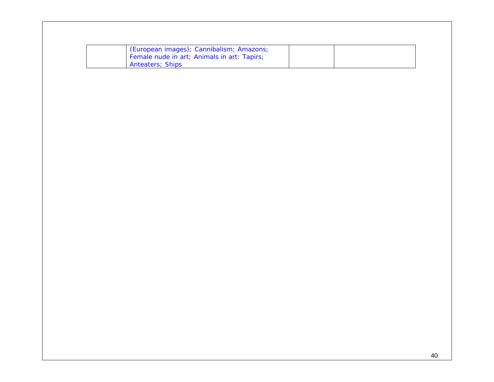| (European images); Cannibalism; Amazons;    |  |
|---------------------------------------------|--|
| Female nude in art; Animals in art: Tapirs; |  |
| <b>Anteaters</b> ; Ships                    |  |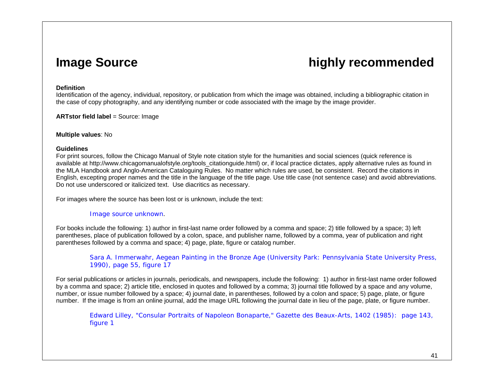# **Image Source highly recommended**

### **Definition**

Identification of the agency, individual, repository, or publication from which the image was obtained, including a bibliographic citation in the case of copy photography, and any identifying number or code associated with the image by the image provider.

**ARTstor field label** = Source: Image

### **Multiple values**: No

### **Guidelines**

For print sources, follow the Chicago Manual of Style note citation style for the humanities and social sciences (quick reference is available at http://www.chicagomanualofstyle.org/tools citationguide.html) or, if local practice dictates, apply alternative rules as found in the MLA Handbook and Anglo-American Cataloguing Rules. No matter which rules are used, be consistent. Record the citations in English, excepting proper names and the title in the language of the title page. Use title case (not sentence case) and avoid abbreviations. Do not use underscored or italicized text. Use diacritics as necessary.

For images where the source has been lost or is unknown, include the text:

### Image source unknown.

For books include the following: 1) author in first-last name order followed by a comma and space; 2) title followed by a space; 3) left parentheses, place of publication followed by a colon, space, and publisher name, followed by a comma, year of publication and right parentheses followed by a comma and space; 4) page, plate, figure or catalog number.

Sara A. Immerwahr, Aegean Painting in the Bronze Age (University Park: Pennsylvania State University Press, 1990), page 55, figure 17

For serial publications or articles in journals, periodicals, and newspapers, include the following: 1) author in first-last name order followed by a comma and space; 2) article title, enclosed in quotes and followed by a comma; 3) journal title followed by a space and any volume, number, or issue number followed by a space; 4) journal date, in parentheses, followed by a colon and space; 5) page, plate, or figure number. If the image is from an online journal, add the image URL following the journal date in lieu of the page, plate, or figure number.

Edward Lilley, "Consular Portraits of Napoleon Bonaparte," Gazette des Beaux-Arts, 1402 (1985): page 143, figure 1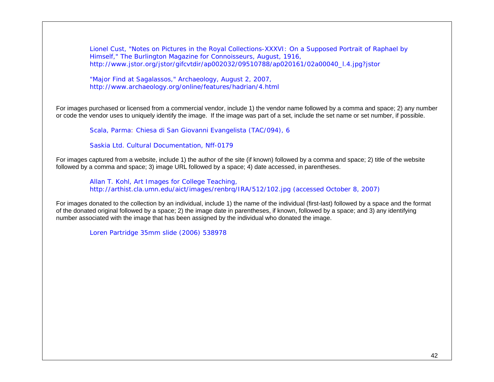Lionel Cust, "Notes on Pictures in the Royal Collections-XXXVI: On a Supposed Portrait of Raphael by Himself," The Burlington Magazine for Connoisseurs, August, 1916, http://www.jstor.org/jstor/gifcvtdir/ap002032/09510788/ap020161/02a00040\_l.4.jpg?jstor

"Major Find at Sagalassos," Archaeology, August 2, 2007, http://www.archaeology.org/online/features/hadrian/4.html

For images purchased or licensed from a commercial vendor, include 1) the vendor name followed by a comma and space; 2) any number or code the vendor uses to uniquely identify the image. If the image was part of a set, include the set name or set number, if possible.

Scala, Parma: Chiesa di San Giovanni Evangelista (TAC/094), 6

Saskia Ltd. Cultural Documentation, Nff-0179

For images captured from a website, include 1) the author of the site (if known) followed by a comma and space; 2) title of the website followed by a comma and space; 3) image URL followed by a space; 4) date accessed, in parentheses.

Allan T. Kohl, Art Images for College Teaching, http://arthist.cla.umn.edu/aict/images/renbrq/IRA/512/102.jpg (accessed October 8, 2007)

For images donated to the collection by an individual, include 1) the name of the individual (first-last) followed by a space and the format of the donated original followed by a space; 2) the image date in parentheses, if known, followed by a space; and 3) any identifying number associated with the image that has been assigned by the individual who donated the image.

Loren Partridge 35mm slide (2006) 538978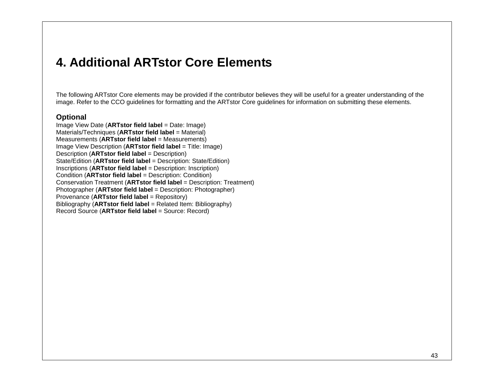## **4. Additional ARTstor Core Elements**

The following ARTstor Core elements may be provided if the contributor believes they will be useful for a greater understanding of the image. Refer to the CCO guidelines for formatting and the ARTstor Core guidelines for information on submitting these elements.

### **Optional**

Image View Date (**ARTstor field label** = Date: Image) Materials/Techniques (**ARTstor field label** = Material) Measurements (**ARTstor field label** = Measurements) Image View Description (**ARTstor field label** = Title: Image) Description (**ARTstor field label** = Description) State/Edition (**ARTstor field label** = Description: State/Edition) Inscriptions (**ARTstor field label** = Description: Inscription) Condition (**ARTstor field label** = Description: Condition) Conservation Treatment (**ARTstor field label** = Description: Treatment) Photographer (**ARTstor field label** = Description: Photographer) Provenance (**ARTstor field label** = Repository) Bibliography (**ARTstor field label** = Related Item: Bibliography) Record Source (**ARTstor field label** = Source: Record)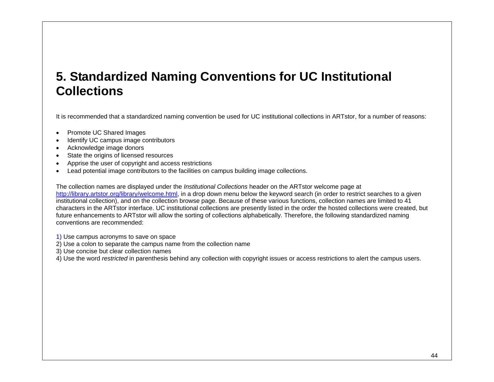# **5. Standardized Naming Conventions for UC Institutional Collections**

It is recommended that a standardized naming convention be used for UC institutional collections in ARTstor, for a number of reasons:

- Promote UC Shared Images
- Identify UC campus image contributors
- Acknowledge image donors
- State the origins of licensed resources
- Apprise the user of copyright and access restrictions
- Lead potential image contributors to the facilities on campus building image collections.

The collection names are displayed under the *Institutional Collections* header on the ARTstor welcome page at http://library.artstor.org/library/welcome.html, in a drop down menu below the keyword search (in order to restrict searches to a given institutional collection), and on the collection browse page. Because of these various functions, collection names are limited to 41 characters in the ARTstor interface. UC institutional collections are presently listed in the order the hosted collections were created, but future enhancements to ARTstor will allow the sorting of collections alphabetically. Therefore, the following standardized naming conventions are recommended:

- 1) Use campus acronyms to save on space
- 2) Use a colon to separate the campus name from the collection name
- 3) Use concise but clear collection names
- 4) Use the word *restricted* in parenthesis behind any collection with copyright issues or access restrictions to alert the campus users.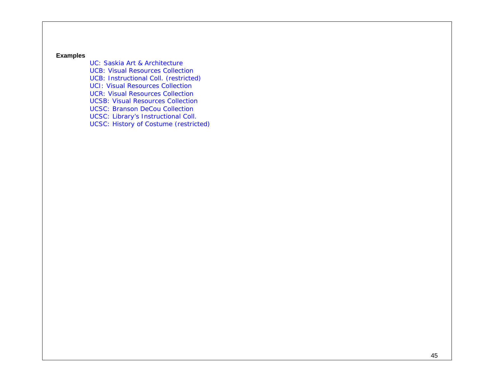#### **Examples**

UC: Saskia Art & Architecture UCB: Visual Resources Collection UCB: Instructional Coll. (restricted) UCI: Visual Resources Collection UCR: Visual Resources Collection UCSB: Visual Resources Collection UCSC: Branson DeCou Collection UCSC: Library's Instructional Coll. UCSC: History of Costume (restricted)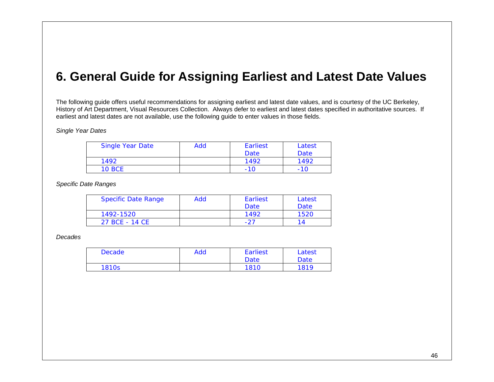## **6. General Guide for Assigning Earliest and Latest Date Values**

The following guide offers useful recommendations for assigning earliest and latest date values, and is courtesy of the UC Berkeley, History of Art Department, Visual Resources Collection. Always defer to earliest and latest dates specified in authoritative sources. If earliest and latest dates are not available, use the following guide to enter values in those fields.

### *Single Year Dates*

| <b>Single Year Date</b> | Add | Earliest | Latest |
|-------------------------|-----|----------|--------|
|                         |     | Date     | Date   |
| 1492                    |     | 1492     | 1492   |
| <b>10 BCE</b>           |     | -10      | -10    |

*Specific Date Ranges* 

| <b>Specific Date Range</b> | Add | Earliest | Latest |
|----------------------------|-----|----------|--------|
|                            |     | Date     | Date   |
| 1492-1520                  |     | 1492     | 1520   |
| 27 BCE - 14 CE             |     | -27      |        |

*Decades* 

| <b>Decade</b> | Add | <b>Earliest</b> | Latest |
|---------------|-----|-----------------|--------|
|               |     | Date            | Date   |
| 1810s         |     | 1810            | 1819   |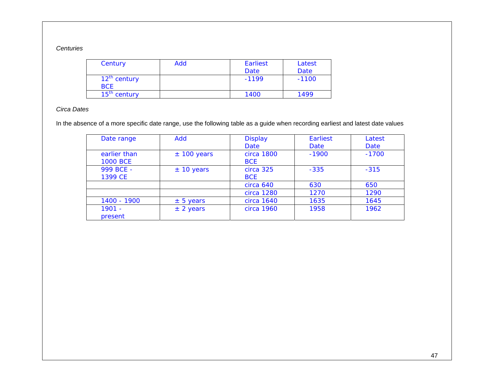#### *Centuries*

| Century                         | Add | <b>Earliest</b> | Latest  |
|---------------------------------|-----|-----------------|---------|
|                                 |     | Date            | Date    |
| $12^{th}$ century<br><b>BCE</b> |     | $-1199$         | $-1100$ |
| 15 <sup>th</sup> century        |     | 1400            | 1499    |

### *Circa Dates*

In the absence of a more specific date range, use the following table as a guide when recording earliest and latest date values

| Date range                      | Add                  | <b>Display</b><br><b>Date</b> | <b>Earliest</b><br>Date | Latest<br>Date |
|---------------------------------|----------------------|-------------------------------|-------------------------|----------------|
| earlier than<br><b>1000 BCE</b> | $±$ 100 years        | circa 1800<br><b>BCE</b>      | $-1900$                 | $-1700$        |
| 999 BCE -<br>1399 CE            | $± 10 \text{ years}$ | circa 325<br><b>BCE</b>       | $-335$                  | $-315$         |
|                                 |                      | circa 640                     | 630                     | 650            |
|                                 |                      | circa 1280                    | 1270                    | 1290           |
| 1400 - 1900                     | $± 5 \text{ years}$  | circa 1640                    | 1635                    | 1645           |
| $1901 -$<br>present             | ± 2 years            | circa 1960                    | 1958                    | 1962           |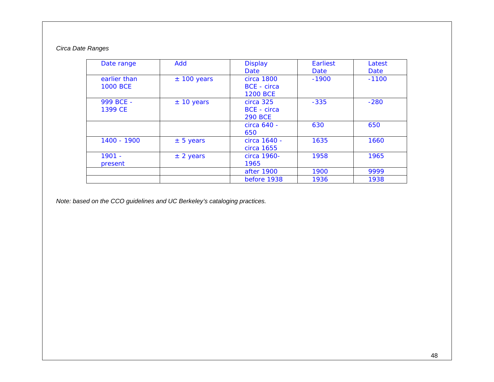### *Circa Date Ranges*

| Date range      | Add                 | <b>Display</b>     | Earliest | Latest  |
|-----------------|---------------------|--------------------|----------|---------|
|                 |                     | Date               | Date     | Date    |
| earlier than    | $±$ 100 years       | circa 1800         | $-1900$  | $-1100$ |
| <b>1000 BCE</b> |                     | <b>BCE</b> - circa |          |         |
|                 |                     | <b>1200 BCE</b>    |          |         |
| 999 BCE -       | ± 10 years          | circa 325          | $-335$   | $-280$  |
| 1399 CE         |                     | <b>BCE</b> - circa |          |         |
|                 |                     | <b>290 BCE</b>     |          |         |
|                 |                     | circa 640 -        | 630      | 650     |
|                 |                     | 650                |          |         |
| 1400 - 1900     | $± 5 \text{ years}$ | circa 1640 -       | 1635     | 1660    |
|                 |                     | circa 1655         |          |         |
| $1901 -$        | ± 2 years           | circa 1960-        | 1958     | 1965    |
| present         |                     | 1965               |          |         |
|                 |                     | after 1900         | 1900     | 9999    |
|                 |                     | before 1938        | 1936     | 1938    |

*Note: based on the CCO guidelines and UC Berkeley's cataloging practices.*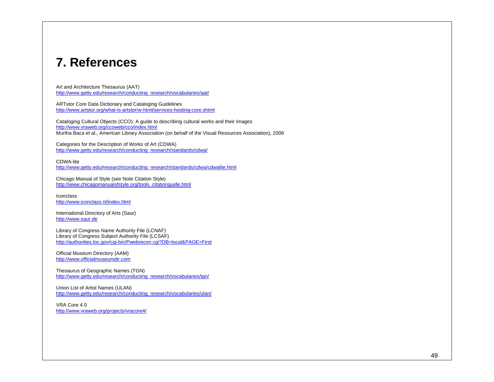## **7. References**

Art and Architecture Thesaurus (AAT) http://www.getty.edu/research/conducting\_research/vocabularies/aat/

ARTstor Core Data Dictionary and Cataloging Guidelines http://www.artstor.org/what-is-artstor/w-html/services-hosting-core.shtml

Cataloging Cultural Objects (CCO): A guide to describing cultural works and their images http://www.vraweb.org/ccoweb/cco/index.html Murtha Baca et al., American Library Association (on behalf of the Visual Resources Association), 2006

Categories for the Description of Works of Art (CDWA) http://www.getty.edu/research/conducting\_research/standards/cdwa/

CDWA-lite http://www.getty.edu/research/conducting\_research/standards/cdwa/cdwalite.html

Chicago Manual of Style (see Note Citation Style) http://www.chicagomanualofstyle.org/tools\_citationguide.html

Iconclass http://www.iconclass.nl/index.html

International Directory of Arts (Saur) http://www.saur.de

Library of Congress Name Authority File (LCNAF) Library of Congress Subject Authority File (LCSAF) http://authorities.loc.gov/cgi-bin/Pwebrecon.cgi?DB=local&PAGE=First

Official Museum Directory (AAM) http://www.officialmuseumdir.com

Thesaurus of Geographic Names (TGN) http://www.getty.edu/research/conducting\_research/vocabularies/tgn/

Union List of Artist Names (ULAN) http://www.getty.edu/research/conducting\_research/vocabularies/ulan/

VRA Core 4.0 http://www.vraweb.org/projects/vracore4/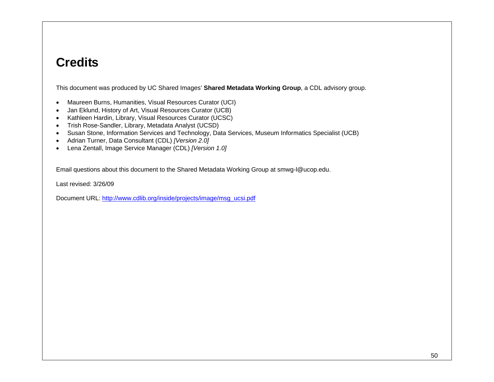# **Credits**

This document was produced by UC Shared Images' **Shared Metadata Working Group**, a CDL advisory group.

- Maureen Burns, Humanities, Visual Resources Curator (UCI)
- Jan Eklund, History of Art, Visual Resources Curator (UCB)
- Kathleen Hardin, Library, Visual Resources Curator (UCSC)
- Trish Rose-Sandler, Library, Metadata Analyst (UCSD)
- Susan Stone, Information Services and Technology, Data Services, Museum Informatics Specialist (UCB)
- Adrian Turner, Data Consultant (CDL) *[Version 2.0]*
- Lena Zentall, Image Service Manager (CDL) *[Version 1.0]*

Email questions about this document to the Shared Metadata Working Group at smwg-l@ucop.edu.

Last revised: 3/26/09

Document URL: http://www.cdlib.org/inside/projects/image/msg\_ucsi.pdf